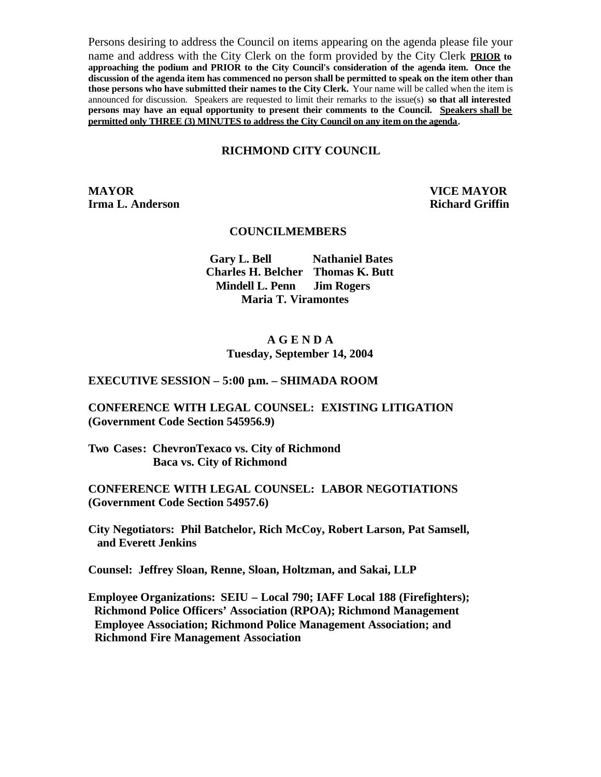Persons desiring to address the Council on items appearing on the agenda please file your name and address with the City Clerk on the form provided by the City Clerk **PRIOR to approaching the podium and PRIOR to the City Council's consideration of the agenda item. Once the discussion of the agenda item has commenced no person shall be permitted to speak on the item other than those persons who have submitted their names to the City Clerk.** Your name will be called when the item is announced for discussion. Speakers are requested to limit their remarks to the issue(s) **so that all interested persons may have an equal opportunity to present their comments to the Council. Speakers shall be permitted only THREE (3) MINUTES to address the City Council on any item on the agenda.**

#### **RICHMOND CITY COUNCIL**

**MAYOR VICE MAYOR Irma L. Anderson Richard Griffin** 

#### **COUNCILMEMBERS**

**Gary L. Bell Nathaniel Bates Charles H. Belcher Thomas K. Butt Mindell L. Penn Jim Rogers Maria T. Viramontes**

### **A G E N D A Tuesday, September 14, 2004**

#### **EXECUTIVE SESSION – 5:00 p.m. – SHIMADA ROOM**

#### **CONFERENCE WITH LEGAL COUNSEL: EXISTING LITIGATION (Government Code Section 545956.9)**

**Two Cases: ChevronTexaco vs. City of Richmond Baca vs. City of Richmond**

**CONFERENCE WITH LEGAL COUNSEL: LABOR NEGOTIATIONS (Government Code Section 54957.6)**

**City Negotiators: Phil Batchelor, Rich McCoy, Robert Larson, Pat Samsell, and Everett Jenkins**

**Counsel: Jeffrey Sloan, Renne, Sloan, Holtzman, and Sakai, LLP**

**Employee Organizations: SEIU – Local 790; IAFF Local 188 (Firefighters); Richmond Police Officers' Association (RPOA); Richmond Management Employee Association; Richmond Police Management Association; and Richmond Fire Management Association**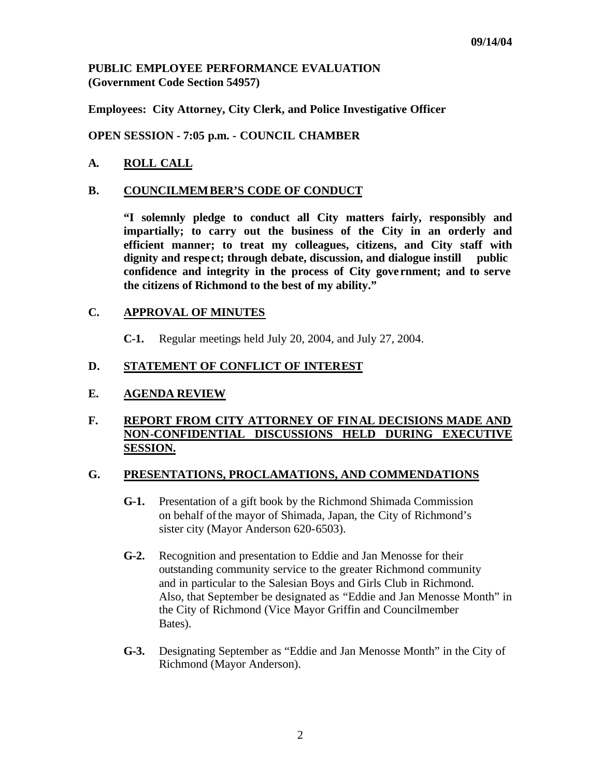# **PUBLIC EMPLOYEE PERFORMANCE EVALUATION (Government Code Section 54957)**

**Employees: City Attorney, City Clerk, and Police Investigative Officer**

**OPEN SESSION - 7:05 p.m. - COUNCIL CHAMBER**

# **A. ROLL CALL**

### **B. COUNCILMEMBER'S CODE OF CONDUCT**

**"I solemnly pledge to conduct all City matters fairly, responsibly and impartially; to carry out the business of the City in an orderly and efficient manner; to treat my colleagues, citizens, and City staff with dignity and respe ct; through debate, discussion, and dialogue instill public confidence and integrity in the process of City gove rnment; and to serve the citizens of Richmond to the best of my ability."**

### **C. APPROVAL OF MINUTES**

**C-1.** Regular meetings held July 20, 2004, and July 27, 2004.

### **D. STATEMENT OF CONFLICT OF INTEREST**

# **E. AGENDA REVIEW**

### **F. REPORT FROM CITY ATTORNEY OF FINAL DECISIONS MADE AND NON-CONFIDENTIAL DISCUSSIONS HELD DURING EXECUTIVE SESSION.**

### **G. PRESENTATIONS, PROCLAMATIONS, AND COMMENDATIONS**

- **G-1.** Presentation of a gift book by the Richmond Shimada Commission on behalf of the mayor of Shimada, Japan, the City of Richmond's sister city (Mayor Anderson 620-6503).
- **G-2.** Recognition and presentation to Eddie and Jan Menosse for their outstanding community service to the greater Richmond community and in particular to the Salesian Boys and Girls Club in Richmond. Also, that September be designated as "Eddie and Jan Menosse Month" in the City of Richmond (Vice Mayor Griffin and Councilmember Bates).
- **G-3.** Designating September as "Eddie and Jan Menosse Month" in the City of Richmond (Mayor Anderson).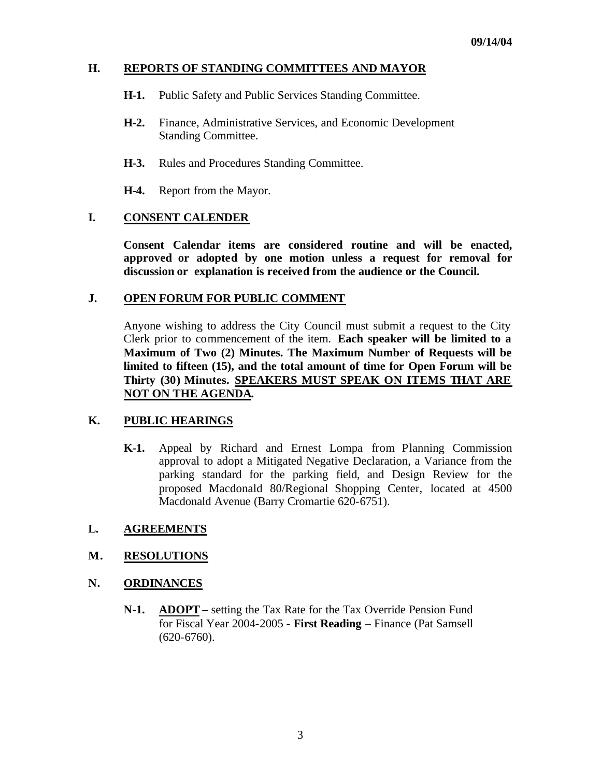# **H. REPORTS OF STANDING COMMITTEES AND MAYOR**

- **H-1.** Public Safety and Public Services Standing Committee.
- **H-2.** Finance, Administrative Services, and Economic Development Standing Committee.
- **H-3.** Rules and Procedures Standing Committee.
- **H-4.** Report from the Mayor.

### **I. CONSENT CALENDER**

**Consent Calendar items are considered routine and will be enacted, approved or adopted by one motion unless a request for removal for discussion or explanation is received from the audience or the Council.** 

#### **J. OPEN FORUM FOR PUBLIC COMMENT**

Anyone wishing to address the City Council must submit a request to the City Clerk prior to commencement of the item. **Each speaker will be limited to a Maximum of Two (2) Minutes. The Maximum Number of Requests will be limited to fifteen (15), and the total amount of time for Open Forum will be Thirty (30) Minutes. SPEAKERS MUST SPEAK ON ITEMS THAT ARE NOT ON THE AGENDA.**

### **K. PUBLIC HEARINGS**

**K-1.** Appeal by Richard and Ernest Lompa from Planning Commission approval to adopt a Mitigated Negative Declaration, a Variance from the parking standard for the parking field, and Design Review for the proposed Macdonald 80/Regional Shopping Center, located at 4500 Macdonald Avenue (Barry Cromartie 620-6751).

### **L. AGREEMENTS**

### **M. RESOLUTIONS**

### **N. ORDINANCES**

**N-1. ADOPT –** setting the Tax Rate for the Tax Override Pension Fund for Fiscal Year 2004-2005 - **First Reading** – Finance (Pat Samsell (620-6760).